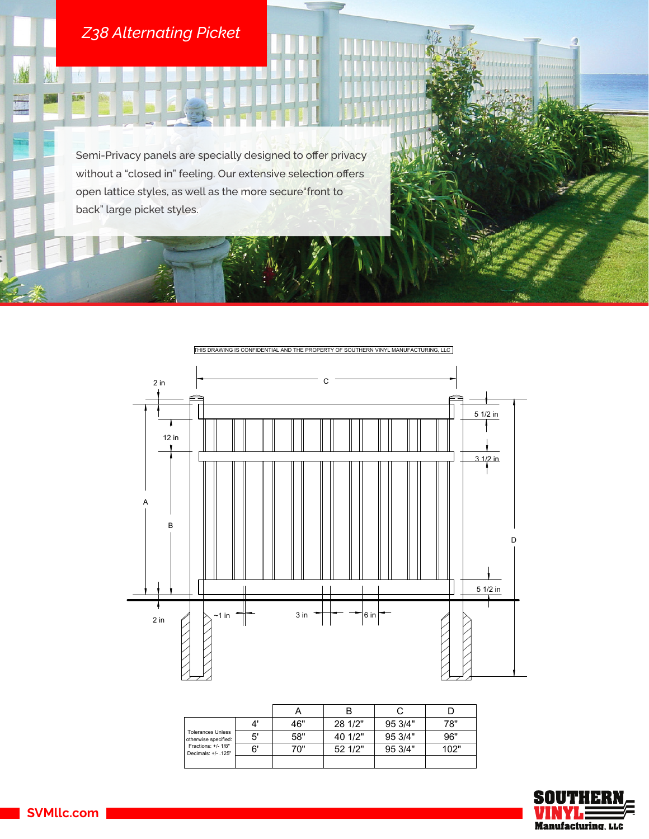## *Z38 Alternating Picket*

构:

H

0.5%

Semi-Privacy panels are specially designed to offer privacy without a "closed in" feeling. Our extensive selection offers open lattice styles, as well as the more secure"front to back" large picket styles.



| <b>Tolerances Unless</b><br>otherwise specified:<br>Fractions: +/- 1/8"<br>Decimals: +/- .125" |    | 46" | 28 1/2" | 95 3/4" | 78"  |
|------------------------------------------------------------------------------------------------|----|-----|---------|---------|------|
|                                                                                                | 5' | 58" | 40 1/2" | 95 3/4" | 96"  |
|                                                                                                | 6' | 70" | 521/2"  | 95 3/4" | 102" |
|                                                                                                |    |     |         |         |      |



mmmmm

**SVMllc.com**